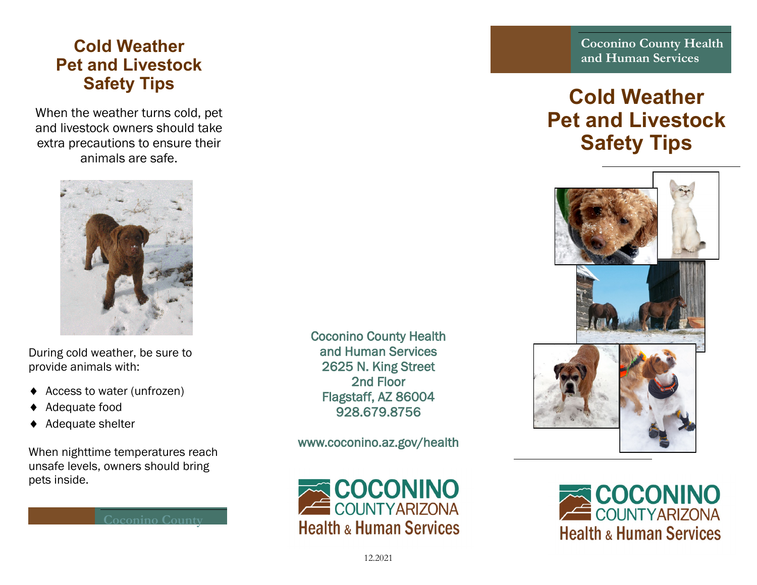## **Cold Weather Pet and Livestock Safety Tips**

When the weather turns cold, pet and livestock owners should take extra precautions to ensure their animals are safe.



During cold weather, be sure to provide animals with:

- ◆ Access to water (unfrozen)
- Adequate food
- ◆ Adequate shelter

When nighttime temperatures reach unsafe levels, owners should bring pets inside.

Coconino County Health and Human Services 2625 N. King Street 2nd Floor Flagstaff, AZ 86004 928.679.8756

www.coconino.az.gov/health



**Coconino County Health and Human Services**

## **Cold Weather Pet and Livestock Safety Tips**